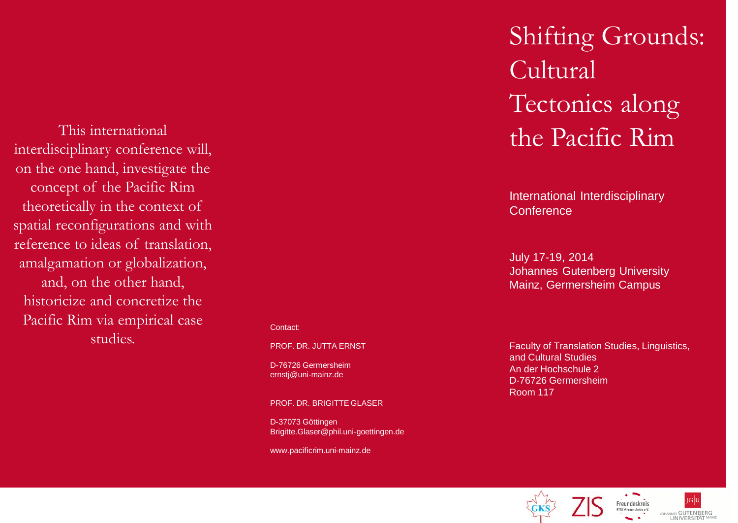This international interdisciplinary conference will, on the one hand, investigate the concept of the Pacific Rim theoretically in the context of spatial reconfigurations and with reference to ideas of translation, amalgamation or globalization, and, on the other hand, historicize and concretize the Pacific Rim via empirical case studies.

#### Contact:

PROF. DR. JUTTA ERNST

D-76726 Germersheim ernstj@uni-mainz.de

PROF. DR. BRIGITTE GLASER

D-37073 Göttingen Brigitte.Glaser@phil.uni-goettingen.de

www.pacificrim.uni-mainz.de

# Shifting Grounds: Cultural Tectonics along the Pacific Rim

International Interdisciplinary **Conference** 

July 17-19, 2014 Johannes Gutenberg University Mainz, Germersheim Campus

Faculty of Translation Studies, Linguistics, and Cultural Studies An der Hochschule 2 D-76726 Germersheim Room 117